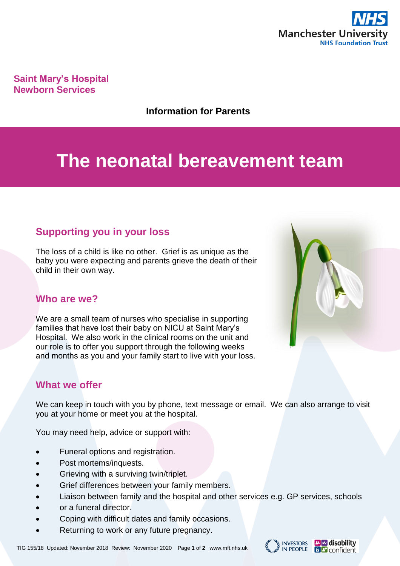

**Saint Mary's Hospital Newborn Services**

#### **Information for Parents**

# **The neonatal bereavement team**

# **Supporting you in your loss**

The loss of a child is like no other. Grief is as unique as the baby you were expecting and parents grieve the death of their child in their own way.

### **Who are we?**

We are a small team of nurses who specialise in supporting families that have lost their baby on NICU at Saint Mary's Hospital. We also work in the clinical rooms on the unit and our role is to offer you support through the following weeks and months as you and your family start to live with your loss.

## **What we offer**

We can keep in touch with you by phone, text message or email. We can also arrange to visit you at your home or meet you at the hospital.

You may need help, advice or support with:

- Funeral options and registration.
- Post mortems/inquests.
- Grieving with a surviving twin/triplet.
- Grief differences between your family members.
- Liaison between family and the hospital and other services e.g. GP services, schools
- or a funeral director.
- Coping with difficult dates and family occasions.
- Returning to work or any future pregnancy.